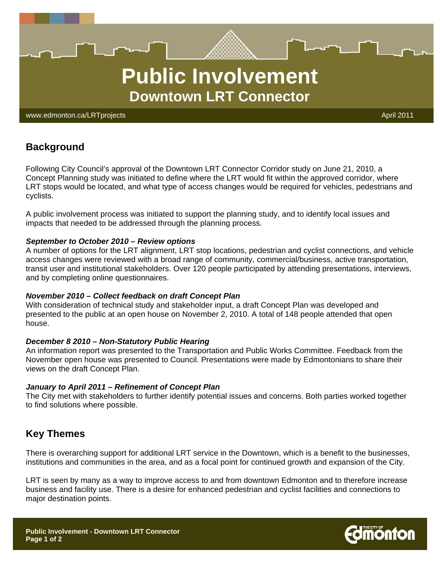

www.edmonton.ca/LRTprojects April 2011 - April 2011 - April 2011 - April 2011

# **Background**

Following City Council's approval of the Downtown LRT Connector Corridor study on June 21, 2010, a Concept Planning study was initiated to define where the LRT would fit within the approved corridor, where LRT stops would be located, and what type of access changes would be required for vehicles, pedestrians and cyclists.

A public involvement process was initiated to support the planning study, and to identify local issues and impacts that needed to be addressed through the planning process.

#### *September to October 2010 – Review options*

A number of options for the LRT alignment, LRT stop locations, pedestrian and cyclist connections, and vehicle access changes were reviewed with a broad range of community, commercial/business, active transportation, transit user and institutional stakeholders. Over 120 people participated by attending presentations, interviews, and by completing online questionnaires.

#### *November 2010 – Collect feedback on draft Concept Plan*

With consideration of technical study and stakeholder input, a draft Concept Plan was developed and presented to the public at an open house on November 2, 2010. A total of 148 people attended that open house.

#### *December 8 2010 – Non-Statutory Public Hearing*

An information report was presented to the Transportation and Public Works Committee. Feedback from the November open house was presented to Council. Presentations were made by Edmontonians to share their views on the draft Concept Plan.

#### *January to April 2011 – Refinement of Concept Plan*

The City met with stakeholders to further identify potential issues and concerns. Both parties worked together to find solutions where possible.

### **Key Themes**

There is overarching support for additional LRT service in the Downtown, which is a benefit to the businesses, institutions and communities in the area, and as a focal point for continued growth and expansion of the City.

LRT is seen by many as a way to improve access to and from downtown Edmonton and to therefore increase business and facility use. There is a desire for enhanced pedestrian and cyclist facilities and connections to major destination points.